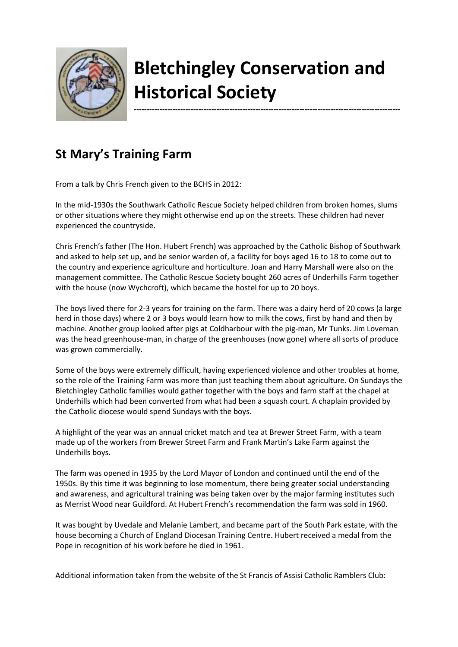

## **Bletchingley Conservation and Historical Society**

**-------------------------------------------------------------------------------------------------------**

**St Mary's Training Farm** 

From a talk by Chris French given to the BCHS in 2012:

In the mid-1930s the Southwark Catholic Rescue Society helped children from broken homes, slums or other situations where they might otherwise end up on the streets. These children had never experienced the countryside.

Chris French's father (The Hon. Hubert French) was approached by the Catholic Bishop of Southwark and asked to help set up, and be senior warden of, a facility for boys aged 16 to 18 to come out to the country and experience agriculture and horticulture. Joan and Harry Marshall were also on the management committee. The Catholic Rescue Society bought 260 acres of Underhills Farm together with the house (now Wychcroft), which became the hostel for up to 20 boys.

The boys lived there for 2-3 years for training on the farm. There was a dairy herd of 20 cows (a large herd in those days) where 2 or 3 boys would learn how to milk the cows, first by hand and then by machine. Another group looked after pigs at Coldharbour with the pig-man, Mr Tunks. Jim Loveman was the head greenhouse-man, in charge of the greenhouses (now gone) where all sorts of produce was grown commercially.

Some of the boys were extremely difficult, having experienced violence and other troubles at home, so the role of the Training Farm was more than just teaching them about agriculture. On Sundays the Bletchingley Catholic families would gather together with the boys and farm staff at the chapel at Underhills which had been converted from what had been a squash court. A chaplain provided by the Catholic diocese would spend Sundays with the boys.

A highlight of the year was an annual cricket match and tea at Brewer Street Farm, with a team made up of the workers from Brewer Street Farm and Frank Martin's Lake Farm against the Underhills boys.

The farm was opened in 1935 by the Lord Mayor of London and continued until the end of the 1950s. By this time it was beginning to lose momentum, there being greater social understanding and awareness, and agricultural training was being taken over by the major farming institutes such as Merrist Wood near Guildford. At Hubert French's recommendation the farm was sold in 1960.

It was bought by Uvedale and Melanie Lambert, and became part of the South Park estate, with the house becoming a Church of England Diocesan Training Centre. Hubert received a medal from the Pope in recognition of his work before he died in 1961.

Additional information taken from the website of the St Francis of Assisi Catholic Ramblers Club: